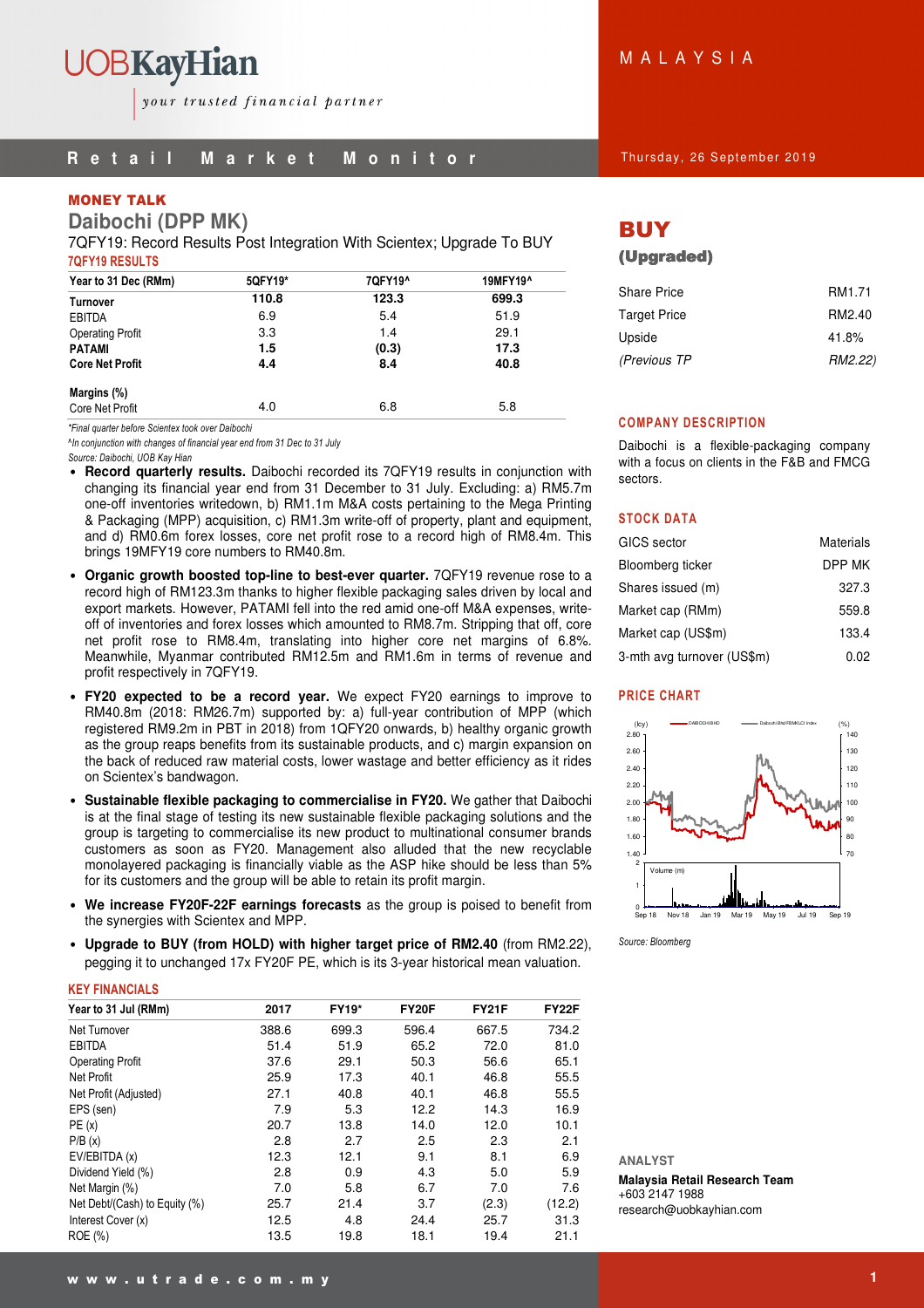# **R** e t a i l M a r k e t M o n i t o r and thursday, 26 September 2019

# MONEY TALK

**Daibochi (DPP MK)** 

7QFY19: Record Results Post Integration With Scientex; Upgrade To BUY 7QFY19 RESULTS

| Year to 31 Dec (RMm)    | 5QFY19* | 7QFY19^ | 19MFY19^ |  |  |
|-------------------------|---------|---------|----------|--|--|
| Turnover                | 110.8   | 123.3   | 699.3    |  |  |
| <b>EBITDA</b>           | 6.9     | 5.4     | 51.9     |  |  |
| <b>Operating Profit</b> | 3.3     | 1.4     | 29.1     |  |  |
| <b>PATAMI</b>           | 1.5     | (0.3)   | 17.3     |  |  |
| <b>Core Net Profit</b>  | 4.4     | 8.4     | 40.8     |  |  |
| Margins (%)             |         |         |          |  |  |
| Core Net Profit         | 4.0     | 6.8     | 5.8      |  |  |

\*Final quarter before Scientex took over Daibochi

^In conjunction with changes of financial year end from 31 Dec to 31 July Source: Daibochi, UOB Kay Hian

- **Record quarterly results.** Daibochi recorded its 7QFY19 results in conjunction with changing its financial year end from 31 December to 31 July. Excluding: a) RM5.7m one-off inventories writedown, b) RM1.1m M&A costs pertaining to the Mega Printing & Packaging (MPP) acquisition, c) RM1.3m write-off of property, plant and equipment, and d) RM0.6m forex losses, core net profit rose to a record high of RM8.4m. This brings 19MFY19 core numbers to RM40.8m.
- **Organic growth boosted top-line to best-ever quarter.** 7QFY19 revenue rose to a record high of RM123.3m thanks to higher flexible packaging sales driven by local and export markets. However, PATAMI fell into the red amid one-off M&A expenses, writeoff of inventories and forex losses which amounted to RM8.7m. Stripping that off, core net profit rose to RM8.4m, translating into higher core net margins of 6.8%. Meanwhile, Myanmar contributed RM12.5m and RM1.6m in terms of revenue and profit respectively in 7QFY19.
- **FY20 expected to be a record year.** We expect FY20 earnings to improve to RM40.8m (2018: RM26.7m) supported by: a) full-year contribution of MPP (which registered RM9.2m in PBT in 2018) from 1QFY20 onwards, b) healthy organic growth as the group reaps benefits from its sustainable products, and c) margin expansion on the back of reduced raw material costs, lower wastage and better efficiency as it rides on Scientex's bandwagon.
- **Sustainable flexible packaging to commercialise in FY20.** We gather that Daibochi is at the final stage of testing its new sustainable flexible packaging solutions and the group is targeting to commercialise its new product to multinational consumer brands customers as soon as FY20. Management also alluded that the new recyclable monolayered packaging is financially viable as the ASP hike should be less than 5% for its customers and the group will be able to retain its profit margin.
- **We increase FY20F-22F earnings forecasts** as the group is poised to benefit from the synergies with Scientex and MPP.
- **Upgrade to BUY (from HOLD) with higher target price of RM2.40** (from RM2.22), pegging it to unchanged 17x FY20F PE, which is its 3-year historical mean valuation.

## KEY FINANCIALS

| Year to 31 Jul (RMm)          | 2017  | <b>FY19*</b> | <b>FY20F</b> | <b>FY21F</b> | <b>FY22F</b> |
|-------------------------------|-------|--------------|--------------|--------------|--------------|
| Net Turnover                  | 388.6 | 699.3        | 596.4        | 667.5        | 734.2        |
| <b>EBITDA</b>                 | 51.4  | 51.9         | 65.2         | 72.0         | 81.0         |
| <b>Operating Profit</b>       | 37.6  | 29.1         | 50.3         | 56.6         | 65.1         |
| Net Profit                    | 25.9  | 17.3         | 40.1         | 46.8         | 55.5         |
| Net Profit (Adjusted)         | 27.1  | 40.8         | 40.1         | 46.8         | 55.5         |
| EPS (sen)                     | 7.9   | 5.3          | 12.2         | 14.3         | 16.9         |
| PE(x)                         | 20.7  | 13.8         | 14.0         | 12.0         | 10.1         |
| P/B(x)                        | 2.8   | 2.7          | 2.5          | 2.3          | 2.1          |
| EV/EBITDA (x)                 | 12.3  | 12.1         | 9.1          | 8.1          | 6.9          |
| Dividend Yield (%)            | 2.8   | 0.9          | 4.3          | 5.0          | 5.9          |
| Net Margin (%)                | 7.0   | 5.8          | 6.7          | 7.0          | 7.6          |
| Net Debt/(Cash) to Equity (%) | 25.7  | 21.4         | 3.7          | (2.3)        | (12.2)       |
| Interest Cover (x)            | 12.5  | 4.8          | 24.4         | 25.7         | 31.3         |
| ROE (%)                       | 13.5  | 19.8         | 18.1         | 19.4         | 21.1         |

M A L A Y S I A

# BUY

# (Upgraded)

| <b>Share Price</b>  | RM <sub>1.71</sub> |
|---------------------|--------------------|
| <b>Target Price</b> | RM2.40             |
| Upside              | 41.8%              |
| (Previous TP        | RM2.22)            |

## COMPANY DESCRIPTION

Daibochi is a flexible-packaging company with a focus on clients in the F&B and FMCG sectors.

## STOCK DATA

| GICS sector                | <b>Materials</b> |
|----------------------------|------------------|
| Bloomberg ticker           | DPP MK           |
| Shares issued (m)          | 327.3            |
| Market cap (RMm)           | 559.8            |
| Market cap (US\$m)         | 133.4            |
| 3-mth avg turnover (US\$m) | 0.02             |

## PRICE CHART



Source: Bloomberg

**ANALYST** 

**Malaysia Retail Research Team**  +603 2147 1988 research@uobkayhian.com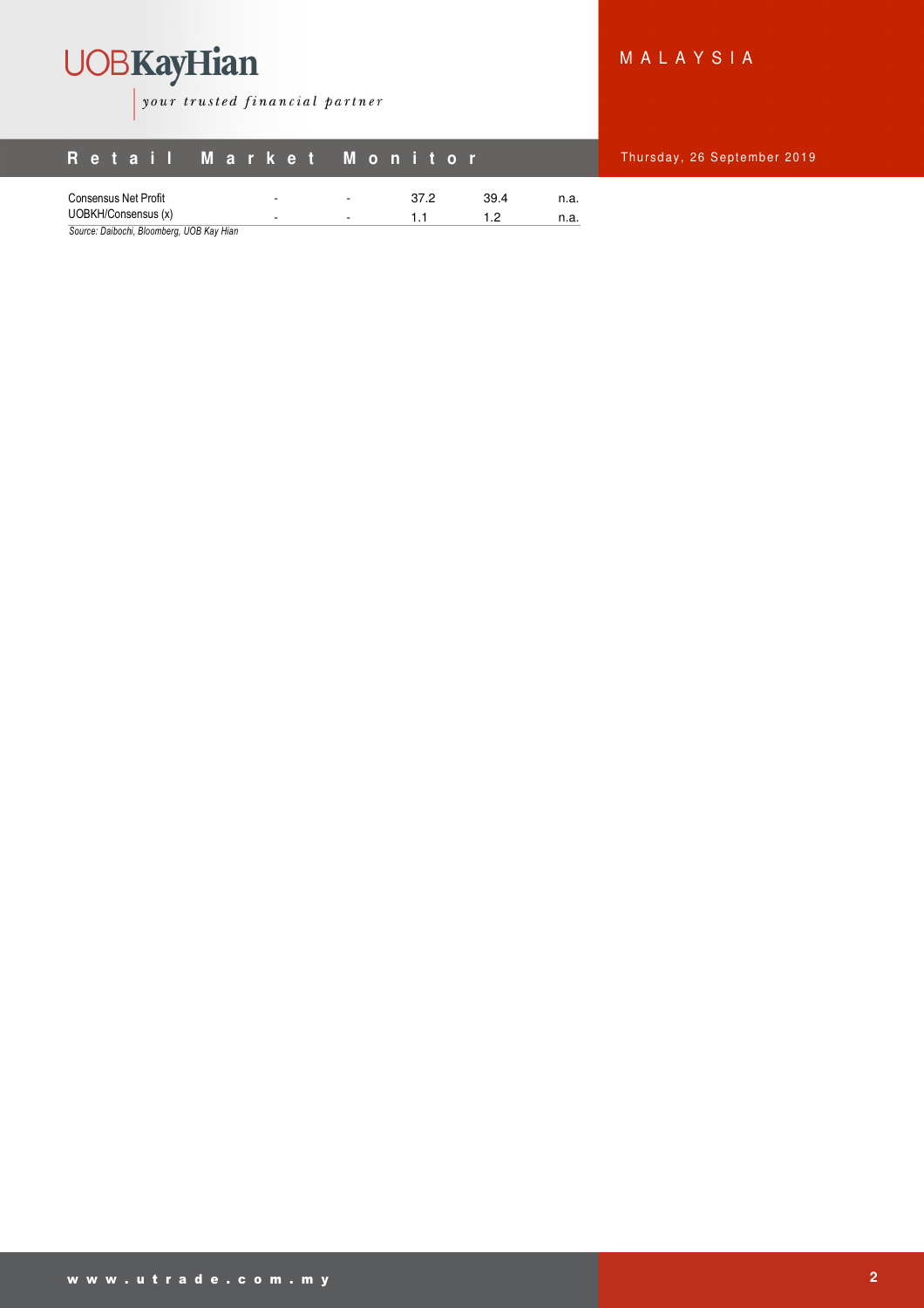

your trusted financial partner

# M A L A Y S I A

**26 September 2019** 

|                      | Retail Market Monitor |                                  |              | Thursday, |
|----------------------|-----------------------|----------------------------------|--------------|-----------|
| Consensus Net Profit | ۰                     | 37.2<br>$\overline{\phantom{a}}$ | 39.4<br>n.a. |           |
| UOBKH/Consensus (x)  | ۰.                    | -                                | n.a.         |           |

Source: Daibochi, Bloomberg, UOB Kay Hian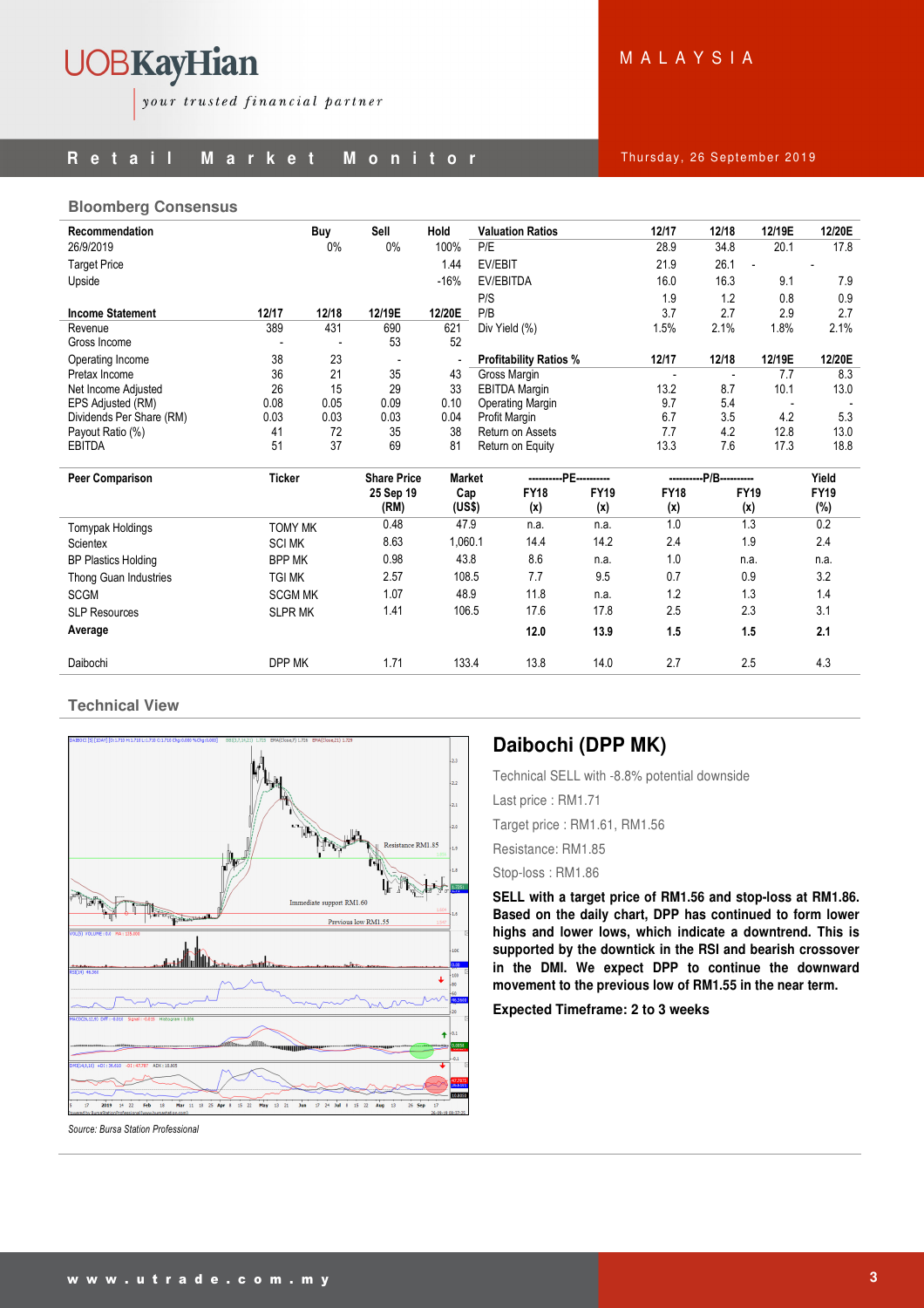# UOBKayHian your trusted financial partner

# **R** e t a i l M a r k e t M o n i t o r and thursday, 26 September 2019

M A L A Y S I A

## **Bloomberg Consensus**

| Recommendation             |                | Buy   | Sell                                                                | Hold    | <b>Valuation Ratios</b>       |             | 12/17                    | 12/18          | 12/19E | 12/20E      |
|----------------------------|----------------|-------|---------------------------------------------------------------------|---------|-------------------------------|-------------|--------------------------|----------------|--------|-------------|
| 26/9/2019                  |                | 0%    | $0\%$                                                               | 100%    | P/E                           |             | 28.9                     | 34.8           | 20.1   | 17.8        |
| <b>Target Price</b>        |                |       |                                                                     | 1.44    | EV/EBIT                       |             | 21.9                     | 26.1           |        |             |
| Upside                     |                |       |                                                                     | $-16%$  | EV/EBITDA                     |             | 16.0                     | 16.3           | 9.1    | 7.9         |
|                            |                |       |                                                                     |         | P/S                           |             | 1.9                      | 1.2            | 0.8    | 0.9         |
| <b>Income Statement</b>    | 12/17          | 12/18 | 12/19E                                                              | 12/20E  | P/B                           |             | 3.7                      | 2.7            | 2.9    | 2.7         |
| Revenue                    | 389            | 431   | 690                                                                 | 621     | Div Yield (%)                 |             | 1.5%                     | 2.1%           | 1.8%   | 2.1%        |
| Gross Income               |                |       | 53                                                                  | 52      |                               |             |                          |                |        |             |
| Operating Income           | 38             | 23    |                                                                     |         | <b>Profitability Ratios %</b> |             | 12/17                    | 12/18          | 12/19E | 12/20E      |
| Pretax Income              | 36             | 21    | 35                                                                  | 43      | Gross Margin                  |             | $\overline{\phantom{a}}$ | $\overline{a}$ | 7.7    | 8.3         |
| Net Income Adjusted        | 26             | 15    | 29                                                                  | 33      | <b>EBITDA Margin</b>          |             | 13.2                     | 8.7            | 10.1   | 13.0        |
| EPS Adjusted (RM)          | 0.08           | 0.05  | 0.09                                                                | 0.10    | Operating Margin              |             | 9.7                      | 5.4            |        |             |
| Dividends Per Share (RM)   | 0.03           | 0.03  | 0.03                                                                | 0.04    | Profit Margin                 |             | 6.7                      | 3.5            | 4.2    | 5.3         |
| Payout Ratio (%)           | 41             | 72    | 35                                                                  | 38      | Return on Assets              |             | 7.7                      | 4.2            | 12.8   | 13.0        |
| <b>EBITDA</b>              | 51             | 37    | 69                                                                  | 81      | Return on Equity              |             | 13.3                     | 7.6            | 17.3   | 18.8        |
| <b>Peer Comparison</b>     | <b>Ticker</b>  |       | --PE-----------<br><b>Market</b><br><b>Share Price</b><br>--------- |         | P/B----------                 |             | Yield                    |                |        |             |
|                            |                |       | 25 Sep 19                                                           | Cap     | <b>FY18</b>                   | <b>FY19</b> | <b>FY18</b>              | <b>FY19</b>    |        | <b>FY19</b> |
|                            |                |       | (RM)                                                                | (US\$)  | (x)                           | (x)         | (x)                      | (x)            |        | (%)         |
| Tomypak Holdings           | <b>TOMY MK</b> |       | 0.48                                                                | 47.9    | n.a.                          | n.a.        | 1.0                      |                | 1.3    | 0.2         |
| Scientex                   | <b>SCI MK</b>  |       | 8.63                                                                | 1,060.1 | 14.4                          | 14.2        | 2.4                      |                | 1.9    | 2.4         |
| <b>BP Plastics Holding</b> | <b>BPP MK</b>  |       | 0.98                                                                | 43.8    | 8.6                           | n.a.        | 1.0                      | n.a.           |        | n.a.        |
| Thong Guan Industries      | <b>TGI MK</b>  |       | 2.57                                                                | 108.5   | 7.7                           | 9.5         | 0.7                      |                | 0.9    | 3.2         |
| <b>SCGM</b>                | <b>SCGM MK</b> |       | 1.07                                                                | 48.9    | 11.8                          | n.a.        | 1.2                      |                | 1.3    | 1.4         |
| <b>SLP Resources</b>       | <b>SLPR MK</b> |       | 1.41                                                                | 106.5   | 17.6                          | 17.8        | 2.5                      | 2.3            |        | 3.1         |
| Average                    |                |       |                                                                     |         | 12.0                          | 13.9        | 1.5                      |                | 1.5    | 2.1         |
| Daibochi                   | DPP MK         |       | 1.71                                                                | 133.4   | 13.8                          | 14.0        | 2.7                      |                | 2.5    | 4.3         |

# **Technical View**



# **Daibochi (DPP MK)**

Technical SELL with -8.8% potential downside

Last price : RM1.71

Target price : RM1.61, RM1.56

Resistance: RM1.85

Stop-loss : RM1.86

**SELL with a target price of RM1.56 and stop-loss at RM1.86. Based on the daily chart, DPP has continued to form lower highs and lower lows, which indicate a downtrend. This is supported by the downtick in the RSI and bearish crossover in the DMI. We expect DPP to continue the downward movement to the previous low of RM1.55 in the near term.** 

**Expected Timeframe: 2 to 3 weeks**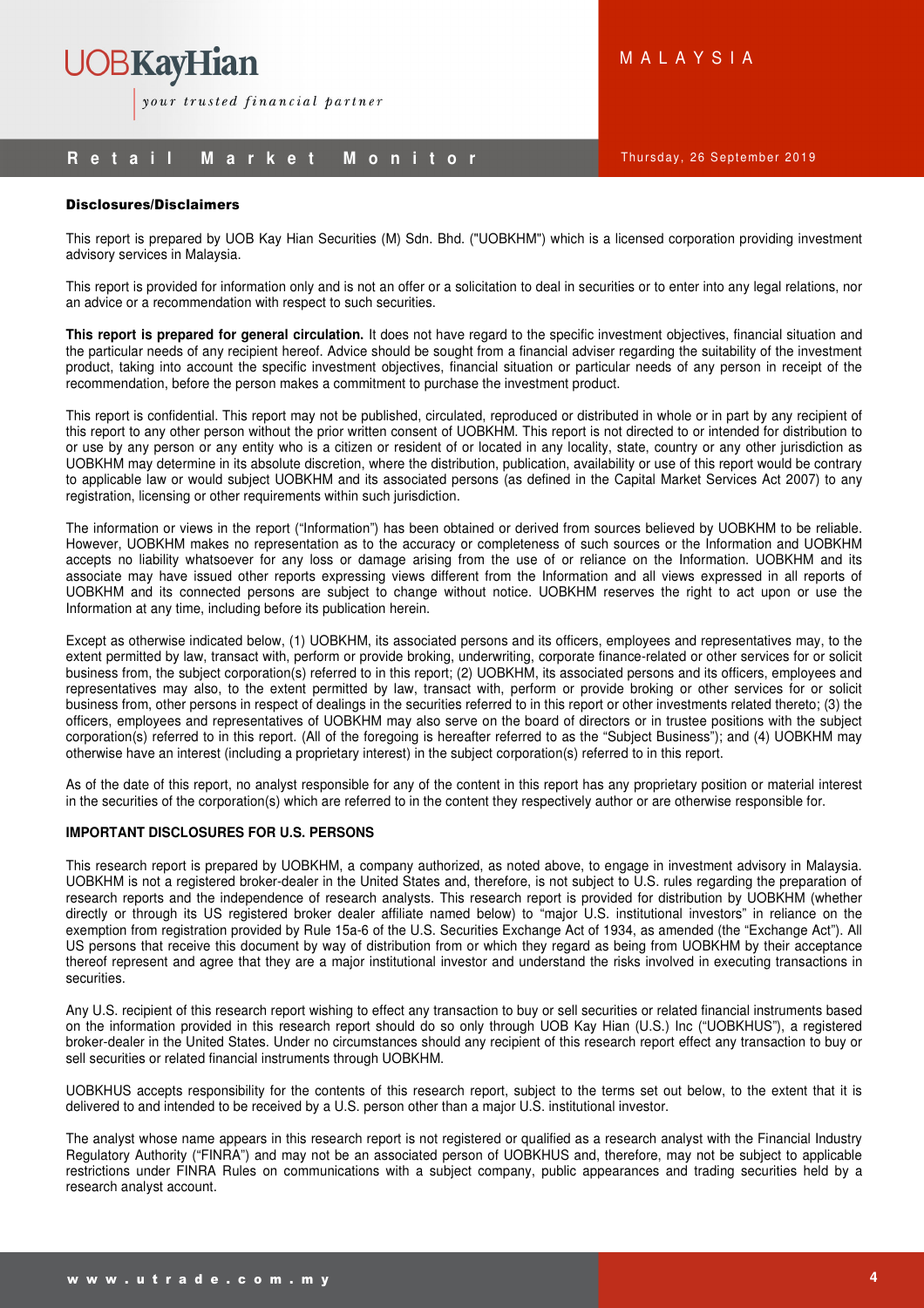

# **R** e t a i l M a r k e t M o n i t o r Thursday, 26 September 2019

# Disclosures/Disclaimers

This report is prepared by UOB Kay Hian Securities (M) Sdn. Bhd. ("UOBKHM") which is a licensed corporation providing investment advisory services in Malaysia.

This report is provided for information only and is not an offer or a solicitation to deal in securities or to enter into any legal relations, nor an advice or a recommendation with respect to such securities.

**This report is prepared for general circulation.** It does not have regard to the specific investment objectives, financial situation and the particular needs of any recipient hereof. Advice should be sought from a financial adviser regarding the suitability of the investment product, taking into account the specific investment objectives, financial situation or particular needs of any person in receipt of the recommendation, before the person makes a commitment to purchase the investment product.

This report is confidential. This report may not be published, circulated, reproduced or distributed in whole or in part by any recipient of this report to any other person without the prior written consent of UOBKHM. This report is not directed to or intended for distribution to or use by any person or any entity who is a citizen or resident of or located in any locality, state, country or any other jurisdiction as UOBKHM may determine in its absolute discretion, where the distribution, publication, availability or use of this report would be contrary to applicable law or would subject UOBKHM and its associated persons (as defined in the Capital Market Services Act 2007) to any registration, licensing or other requirements within such jurisdiction.

The information or views in the report ("Information") has been obtained or derived from sources believed by UOBKHM to be reliable. However, UOBKHM makes no representation as to the accuracy or completeness of such sources or the Information and UOBKHM accepts no liability whatsoever for any loss or damage arising from the use of or reliance on the Information. UOBKHM and its associate may have issued other reports expressing views different from the Information and all views expressed in all reports of UOBKHM and its connected persons are subject to change without notice. UOBKHM reserves the right to act upon or use the Information at any time, including before its publication herein.

Except as otherwise indicated below, (1) UOBKHM, its associated persons and its officers, employees and representatives may, to the extent permitted by law, transact with, perform or provide broking, underwriting, corporate finance-related or other services for or solicit business from, the subject corporation(s) referred to in this report; (2) UOBKHM, its associated persons and its officers, employees and representatives may also, to the extent permitted by law, transact with, perform or provide broking or other services for or solicit business from, other persons in respect of dealings in the securities referred to in this report or other investments related thereto; (3) the officers, employees and representatives of UOBKHM may also serve on the board of directors or in trustee positions with the subject corporation(s) referred to in this report. (All of the foregoing is hereafter referred to as the "Subject Business"); and (4) UOBKHM may otherwise have an interest (including a proprietary interest) in the subject corporation(s) referred to in this report.

As of the date of this report, no analyst responsible for any of the content in this report has any proprietary position or material interest in the securities of the corporation(s) which are referred to in the content they respectively author or are otherwise responsible for.

## **IMPORTANT DISCLOSURES FOR U.S. PERSONS**

This research report is prepared by UOBKHM, a company authorized, as noted above, to engage in investment advisory in Malaysia. UOBKHM is not a registered broker-dealer in the United States and, therefore, is not subject to U.S. rules regarding the preparation of research reports and the independence of research analysts. This research report is provided for distribution by UOBKHM (whether directly or through its US registered broker dealer affiliate named below) to "major U.S. institutional investors" in reliance on the exemption from registration provided by Rule 15a-6 of the U.S. Securities Exchange Act of 1934, as amended (the "Exchange Act"). All US persons that receive this document by way of distribution from or which they regard as being from UOBKHM by their acceptance thereof represent and agree that they are a major institutional investor and understand the risks involved in executing transactions in securities.

Any U.S. recipient of this research report wishing to effect any transaction to buy or sell securities or related financial instruments based on the information provided in this research report should do so only through UOB Kay Hian (U.S.) Inc ("UOBKHUS"), a registered broker-dealer in the United States. Under no circumstances should any recipient of this research report effect any transaction to buy or sell securities or related financial instruments through UOBKHM.

UOBKHUS accepts responsibility for the contents of this research report, subject to the terms set out below, to the extent that it is delivered to and intended to be received by a U.S. person other than a major U.S. institutional investor.

The analyst whose name appears in this research report is not registered or qualified as a research analyst with the Financial Industry Regulatory Authority ("FINRA") and may not be an associated person of UOBKHUS and, therefore, may not be subject to applicable restrictions under FINRA Rules on communications with a subject company, public appearances and trading securities held by a research analyst account.

M A L A Y S I A